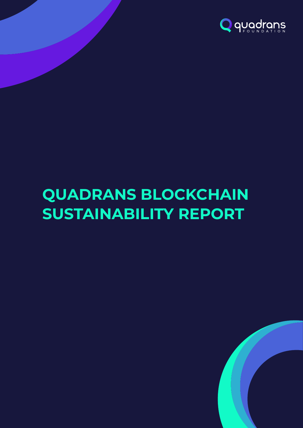

# **QUADRANS BLOCKCHAIN SUSTAINABILITY REPORT**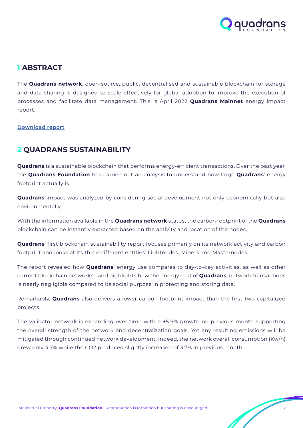

## **1 ABSTRACT**

The **Quadrans network**, open-source, public, decentralised and sustainable blockchain for storage and data sharing is designed to scale effectively for global adoption to improve the execution of processes and facilitate data management. This is April 2022 **Quadrans Mainnet** energy impact report.

#### **[Download report](https://quadrans.io/f/2204_sustainability)**

## **2 QUADRANS SUSTAINABILITY**

**Quadrans** is a sustainable blockchain that performs energy-efficient transactions. Over the past year, the **Quadrans Foundation** has carried out an analysis to understand how large **Quadrans**' energy footprint actually is.

**Quadrans** impact was analyzed by considering social development not only economically but also environmentally.

With the information available in the **Quadrans network** status, the carbon footprint of the **Quadrans** blockchain can be instantly extracted based on the activity and location of the nodes.

**Quadrans**' first blockchain sustainability report focuses primarily on its network activity and carbon footprint and looks at its three different entities: Lightnodes, Miners and Masternodes.

The report revealed how **Quadrans**' energy use compares to day-to-day activities, as well as other current blockchain networks - and highlights how the energy cost of **Quadrans**' network transactions is nearly negligible compared to its social purpose in protecting and storing data.

Remarkably, **Quadrans** also delivers a lower carbon footprint impact than the first two capitalized projects.

The validator network is expanding over time with a +5.9% growth on previous month supporting the overall strength of the network and decentralization goals. Yet any resulting emissions will be mitigated through continued network development. Indeed, the network overall consumption (Kw/h) grew only 4.7% while the CO2 produced slightly increased of 3.7% in previous month.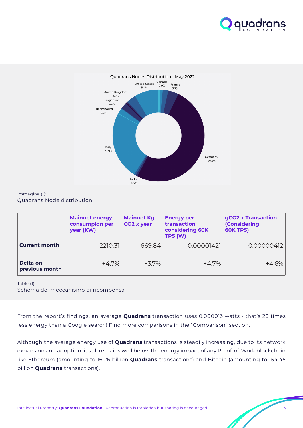



#### Immagine (1): Quadrans Node distribution

|                            | <b>Mainnet energy</b><br>consumpion per<br>year (KW) | <b>Mainnet Kg</b><br>CO <sub>2</sub> x year | <b>Energy per</b><br>transaction<br>considering 60K<br>TPS (W) | gCO2 x Transaction<br><b>(Considering</b><br><b>60K TPS)</b> |
|----------------------------|------------------------------------------------------|---------------------------------------------|----------------------------------------------------------------|--------------------------------------------------------------|
| <b>Current month</b>       | 2210.31                                              | 669.84                                      | 0.00001421                                                     | 0.00000412                                                   |
| Delta on<br>previous month | $+4.7%$                                              | $+3.7\%$                                    | $+4.7\%$                                                       | $+4.6%$                                                      |

Table (1): Schema del meccanismo di ricompensa

From the report's findings, an average **Quadrans** transaction uses 0.000013 watts - that's 20 times less energy than a Google search! Find more comparisons in the "Comparison" section.

Although the average energy use of **Quadrans** transactions is steadily increasing, due to its network expansion and adoption, it still remains well below the energy impact of any Proof-of-Work blockchain like Ethereum (amounting to 16.26 billion **Quadrans** transactions) and Bitcoin (amounting to 154.45 billion **Quadrans** transactions).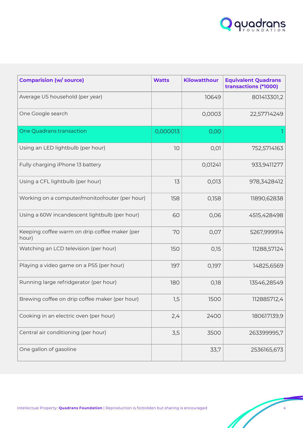

| <b>Comparision (w/ source)</b>                         | <b>Watts</b> | Kilowatthour | <b>Equivalent Quadrans</b><br>transactions (*1000) |
|--------------------------------------------------------|--------------|--------------|----------------------------------------------------|
| Average US household (per year)                        |              | 10649        | 801413301,2                                        |
| One Google search                                      |              | 0,0003       | 22,57714249                                        |
| One Quadrans transaction                               | 0,000013     | 0,00         |                                                    |
| Using an LED lightbulb (per hour)                      | 10           | 0,01         | 752,5714163                                        |
| Fully charging iPhone 13 battery                       |              | 0,01241      | 933,9411277                                        |
| Using a CFL lightbulb (per hour)                       | 13           | 0,013        | 978,3428412                                        |
| Working on a computer/monitor/router (per hour)        | 158          | 0,158        | 11890,62838                                        |
| Using a 60W incandescent lightbulb (per hour)          | 60           | 0,06         | 4515,428498                                        |
| Keeping coffee warm on drip coffee maker (per<br>hour) | 70           | 0,07         | 5267,999914                                        |
| Watching an LCD television (per hour)                  | 150          | 0,15         | 11288,57124                                        |
| Playing a video game on a PS5 (per hour)               | 197          | 0,197        | 14825,6569                                         |
| Running large refridgerator (per hour)                 | 180          | 0,18         | 13546,28549                                        |
| Brewing coffee on drip coffee maker (per hour)         | 1,5          | 1500         | 112885712,4                                        |
| Cooking in an electric oven (per hour)                 | 2,4          | 2400         | 180617139,9                                        |
| Central air conditioning (per hour)                    | 3,5          | 3500         | 263399995,7                                        |
| One gallon of gasoline                                 |              | 33,7         | 2536165,673                                        |

Ĥ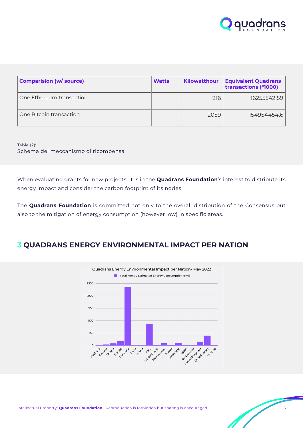

| <b>Comparision (w/ source)</b> | <b>Watts</b> | Kilowatthour | <b>Equivalent Quadrans</b><br>transactions (*1000) |
|--------------------------------|--------------|--------------|----------------------------------------------------|
| One Ethereum transaction       |              | 216          | 16255542,59                                        |
| One Bitcoin transaction        |              | 2059         | 154954454,6                                        |

Table (2): Schema del meccanismo di ricompensa

When evaluating grants for new projects, it is in the **Quadrans Foundation**'s interest to distribute its energy impact and consider the carbon footprint of its nodes.

The **Quadrans Foundation** is committed not only to the overall distribution of the Consensus but also to the mitigation of energy consumption (however low) in specific areas.

# **3 QUADRANS ENERGY ENVIRONMENTAL IMPACT PER NATION**

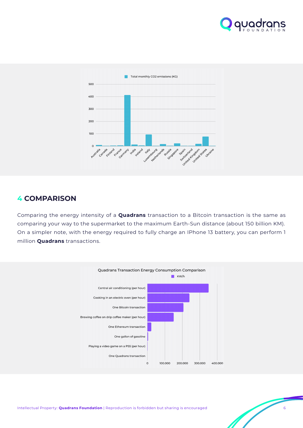



### **4 COMPARISON**

Comparing the energy intensity of a **Quadrans** transaction to a Bitcoin transaction is the same as comparing your way to the supermarket to the maximum Earth-Sun distance (about 150 billion KM). On a simpler note, with the energy required to fully charge an IPhone 13 battery, you can perform 1 million **Quadrans** transactions.

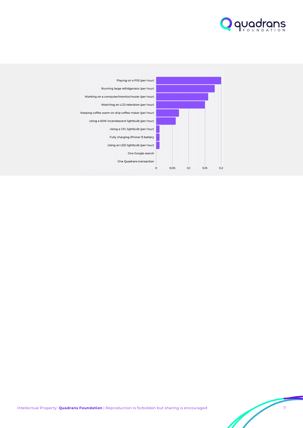